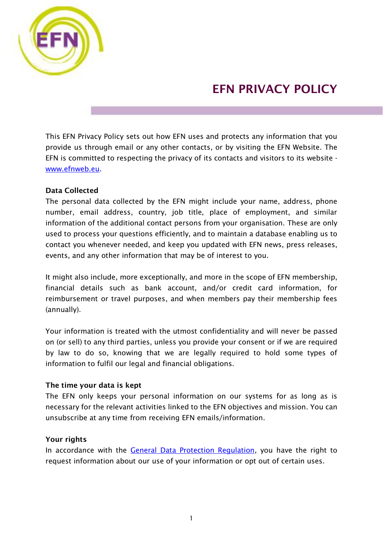

# EFN PRIVACY POLICY

This EFN Privacy Policy sets out how EFN uses and protects any information that you provide us through email or any other contacts, or by visiting the EFN Website. The EFN is committed to respecting the privacy of its contacts and visitors to its website [www.efnweb.eu.](http://www.efnweb.eu/)

# Data Collected

The personal data collected by the EFN might include your name, address, phone number, email address, country, job title, place of employment, and similar information of the additional contact persons from your organisation. These are only used to process your questions efficiently, and to maintain a database enabling us to contact you whenever needed, and keep you updated with EFN news, press releases, events, and any other information that may be of interest to you.

It might also include, more exceptionally, and more in the scope of EFN membership, financial details such as bank account, and/or credit card information, for reimbursement or travel purposes, and when members pay their membership fees (annually).

Your information is treated with the utmost confidentiality and will never be passed on (or sell) to any third parties, unless you provide your consent or if we are required by law to do so, knowing that we are legally required to hold some types of information to fulfil our legal and financial obligations.

# The time your data is kept

The EFN only keeps your personal information on our systems for as long as is necessary for the relevant activities linked to the EFN objectives and mission. You can unsubscribe at any time from receiving EFN emails/information.

# Your rights

In accordance with the **General Data Protection Regulation**, you have the right to request information about our use of your information or opt out of certain uses.